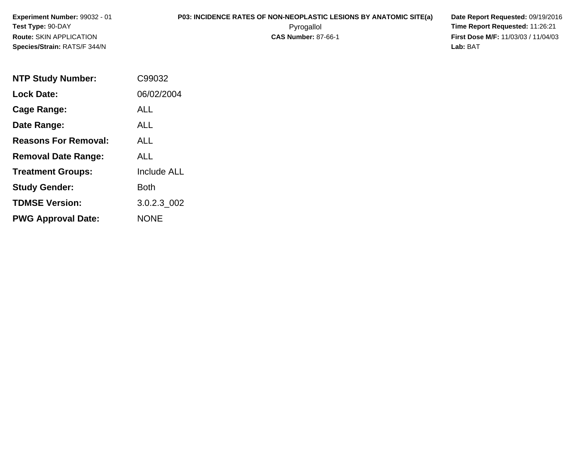**Experiment Number:** 99032 - 01**Test Type:** 90-DAY**Route:** SKIN APPLICATION**Species/Strain:** RATS/F 344/N

## **P03: INCIDENCE RATES OF NON-NEOPLASTIC LESIONS BY ANATOMIC SITE(a) Date Report Requested: 09/19/2016<br>Pyrogallol <b>Proport Report Requested: 11:26:21**

 Pyrogallol **Time Report Requested:** 11:26:21 **First Dose M/F:** 11/03/03 / 11/04/03<br>**Lab:** BAT **Lab:** BAT

| <b>NTP Study Number:</b>    | C99032             |
|-----------------------------|--------------------|
| <b>Lock Date:</b>           | 06/02/2004         |
| Cage Range:                 | ALL                |
| Date Range:                 | ALL                |
| <b>Reasons For Removal:</b> | AI I               |
| <b>Removal Date Range:</b>  | ALL                |
| <b>Treatment Groups:</b>    | <b>Include ALL</b> |
| <b>Study Gender:</b>        | Both               |
| <b>TDMSE Version:</b>       | 3.0.2.3 002        |
| <b>PWG Approval Date:</b>   | <b>NONE</b>        |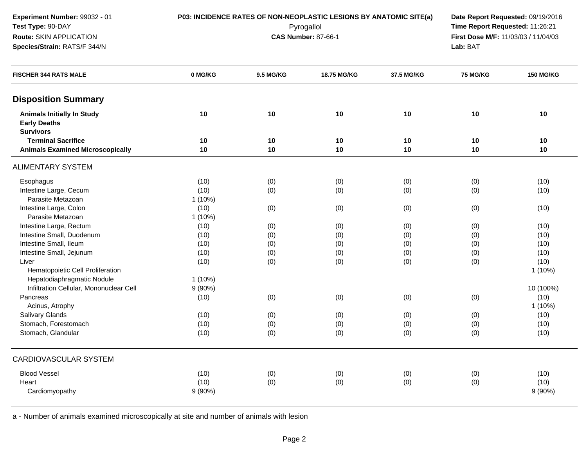| Test Type: 90-DAY<br>Route: SKIN APPLICATION<br>Species/Strain: RATS/F 344/N |           |           | P03: INCIDENCE RATES OF NON-NEOPLASTIC LESIONS BY ANATOMIC SITE(a)<br>Pyrogallol<br><b>CAS Number: 87-66-1</b> |            | Date Report Requested: 09/19/2016<br>Time Report Requested: 11:26:21<br>First Dose M/F: 11/03/03 / 11/04/03<br>Lab: BAT |                  |  |
|------------------------------------------------------------------------------|-----------|-----------|----------------------------------------------------------------------------------------------------------------|------------|-------------------------------------------------------------------------------------------------------------------------|------------------|--|
| <b>FISCHER 344 RATS MALE</b>                                                 | 0 MG/KG   | 9.5 MG/KG | 18.75 MG/KG                                                                                                    | 37.5 MG/KG | 75 MG/KG                                                                                                                | <b>150 MG/KG</b> |  |
| <b>Disposition Summary</b>                                                   |           |           |                                                                                                                |            |                                                                                                                         |                  |  |
| <b>Animals Initially In Study</b><br><b>Early Deaths</b><br><b>Survivors</b> | 10        | 10        | 10                                                                                                             | 10         | 10                                                                                                                      | 10               |  |
| <b>Terminal Sacrifice</b>                                                    | 10        | 10        | 10                                                                                                             | 10         | 10                                                                                                                      | 10               |  |
| <b>Animals Examined Microscopically</b>                                      | 10        | 10        | 10                                                                                                             | 10         | 10                                                                                                                      | 10               |  |
| <b>ALIMENTARY SYSTEM</b>                                                     |           |           |                                                                                                                |            |                                                                                                                         |                  |  |
| Esophagus                                                                    | (10)      | (0)       | (0)                                                                                                            | (0)        | (0)                                                                                                                     | (10)             |  |
| Intestine Large, Cecum                                                       | (10)      | (0)       | (0)                                                                                                            | (0)        | (0)                                                                                                                     | (10)             |  |
| Parasite Metazoan                                                            | 1(10%)    |           |                                                                                                                |            |                                                                                                                         |                  |  |
| Intestine Large, Colon                                                       | (10)      | (0)       | (0)                                                                                                            | (0)        | (0)                                                                                                                     | (10)             |  |
| Parasite Metazoan                                                            | 1(10%)    |           |                                                                                                                |            |                                                                                                                         |                  |  |
| Intestine Large, Rectum                                                      | (10)      | (0)       | (0)                                                                                                            | (0)        | (0)                                                                                                                     | (10)             |  |
| Intestine Small, Duodenum                                                    | (10)      | (0)       | (0)                                                                                                            | (0)        | (0)                                                                                                                     | (10)             |  |
| Intestine Small, Ileum                                                       | (10)      | (0)       | (0)                                                                                                            | (0)        | (0)                                                                                                                     | (10)             |  |
| Intestine Small, Jejunum                                                     | (10)      | (0)       | (0)                                                                                                            | (0)        | (0)                                                                                                                     | (10)             |  |
| Liver                                                                        | (10)      | (0)       | (0)                                                                                                            | (0)        | (0)                                                                                                                     | (10)             |  |
| Hematopoietic Cell Proliferation                                             |           |           |                                                                                                                |            |                                                                                                                         | $1(10\%)$        |  |
| Hepatodiaphragmatic Nodule                                                   | $1(10\%)$ |           |                                                                                                                |            |                                                                                                                         |                  |  |
| Infiltration Cellular, Mononuclear Cell                                      | 9(90%)    |           |                                                                                                                |            |                                                                                                                         | 10 (100%)        |  |
| Pancreas                                                                     | (10)      | (0)       | (0)                                                                                                            | (0)        | (0)                                                                                                                     | (10)             |  |
| Acinus, Atrophy                                                              |           |           |                                                                                                                |            |                                                                                                                         | $1(10\%)$        |  |
| Salivary Glands                                                              | (10)      | (0)       | (0)                                                                                                            | (0)        | (0)                                                                                                                     | (10)             |  |
| Stomach, Forestomach                                                         | (10)      | (0)       | (0)                                                                                                            | (0)        | (0)                                                                                                                     | (10)             |  |
| Stomach, Glandular                                                           | (10)      | (0)       | (0)                                                                                                            | (0)        | (0)                                                                                                                     | (10)             |  |
| CARDIOVASCULAR SYSTEM                                                        |           |           |                                                                                                                |            |                                                                                                                         |                  |  |
| <b>Blood Vessel</b>                                                          | (10)      | (0)       | (0)                                                                                                            | (0)        | (0)                                                                                                                     | (10)             |  |
| Heart                                                                        | (10)      | (0)       | (0)                                                                                                            | (0)        | (0)                                                                                                                     | (10)             |  |
| Cardiomyopathy                                                               | 9(90%)    |           |                                                                                                                |            |                                                                                                                         | 9(90%)           |  |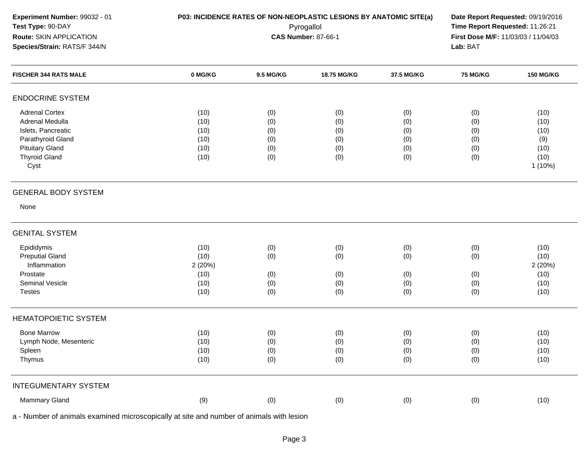| Experiment Number: 99032 - 01<br>Test Type: 90-DAY<br>Route: SKIN APPLICATION<br>Species/Strain: RATS/F 344/N                                 |                                                | P03: INCIDENCE RATES OF NON-NEOPLASTIC LESIONS BY ANATOMIC SITE(a)<br>Date Report Requested: 09/19/2016<br>Time Report Requested: 11:26:21<br>Pyrogallol<br>First Dose M/F: 11/03/03 / 11/04/03<br><b>CAS Number: 87-66-1</b><br>Lab: BAT |                                        |                                        |                                        |                                                       |
|-----------------------------------------------------------------------------------------------------------------------------------------------|------------------------------------------------|-------------------------------------------------------------------------------------------------------------------------------------------------------------------------------------------------------------------------------------------|----------------------------------------|----------------------------------------|----------------------------------------|-------------------------------------------------------|
| <b>FISCHER 344 RATS MALE</b>                                                                                                                  | 0 MG/KG                                        | 9.5 MG/KG                                                                                                                                                                                                                                 | 18.75 MG/KG                            | 37.5 MG/KG                             | <b>75 MG/KG</b>                        | <b>150 MG/KG</b>                                      |
| <b>ENDOCRINE SYSTEM</b>                                                                                                                       |                                                |                                                                                                                                                                                                                                           |                                        |                                        |                                        |                                                       |
| <b>Adrenal Cortex</b><br>Adrenal Medulla<br>Islets, Pancreatic<br>Parathyroid Gland<br><b>Pituitary Gland</b><br><b>Thyroid Gland</b><br>Cyst | (10)<br>(10)<br>(10)<br>(10)<br>(10)<br>(10)   | (0)<br>(0)<br>(0)<br>(0)<br>(0)<br>(0)                                                                                                                                                                                                    | (0)<br>(0)<br>(0)<br>(0)<br>(0)<br>(0) | (0)<br>(0)<br>(0)<br>(0)<br>(0)<br>(0) | (0)<br>(0)<br>(0)<br>(0)<br>(0)<br>(0) | (10)<br>(10)<br>(10)<br>(9)<br>(10)<br>(10)<br>1(10%) |
| <b>GENERAL BODY SYSTEM</b>                                                                                                                    |                                                |                                                                                                                                                                                                                                           |                                        |                                        |                                        |                                                       |
| None                                                                                                                                          |                                                |                                                                                                                                                                                                                                           |                                        |                                        |                                        |                                                       |
| <b>GENITAL SYSTEM</b>                                                                                                                         |                                                |                                                                                                                                                                                                                                           |                                        |                                        |                                        |                                                       |
| Epididymis<br><b>Preputial Gland</b><br>Inflammation<br>Prostate<br>Seminal Vesicle<br><b>Testes</b>                                          | (10)<br>(10)<br>2(20%)<br>(10)<br>(10)<br>(10) | (0)<br>(0)<br>(0)<br>(0)<br>(0)                                                                                                                                                                                                           | (0)<br>(0)<br>(0)<br>(0)<br>(0)        | (0)<br>(0)<br>(0)<br>(0)<br>(0)        | (0)<br>(0)<br>(0)<br>(0)<br>(0)        | (10)<br>(10)<br>2(20%)<br>(10)<br>(10)<br>(10)        |
| <b>HEMATOPOIETIC SYSTEM</b>                                                                                                                   |                                                |                                                                                                                                                                                                                                           |                                        |                                        |                                        |                                                       |
| <b>Bone Marrow</b><br>Lymph Node, Mesenteric<br>Spleen<br>Thymus                                                                              | (10)<br>(10)<br>(10)<br>(10)                   | (0)<br>(0)<br>(0)<br>(0)                                                                                                                                                                                                                  | (0)<br>(0)<br>(0)<br>(0)               | (0)<br>(0)<br>(0)<br>(0)               | (0)<br>(0)<br>(0)<br>(0)               | (10)<br>(10)<br>(10)<br>(10)                          |
| <b>INTEGUMENTARY SYSTEM</b>                                                                                                                   |                                                |                                                                                                                                                                                                                                           |                                        |                                        |                                        |                                                       |
| Mammary Gland                                                                                                                                 | (9)                                            | (0)                                                                                                                                                                                                                                       | (0)                                    | (0)                                    | (0)                                    | (10)                                                  |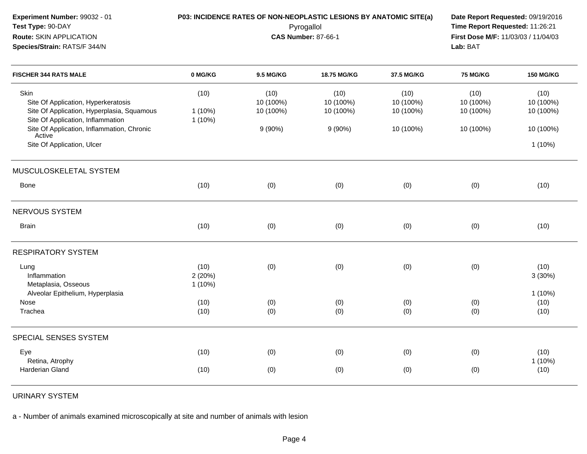|                |                        | Time Report Requested: 11:26:21<br>First Dose M/F: 11/03/03 / 11/04/03<br>Lab: BAT |                                                       |                                                                                 | Date Report Requested: 09/19/2016 |  |
|----------------|------------------------|------------------------------------------------------------------------------------|-------------------------------------------------------|---------------------------------------------------------------------------------|-----------------------------------|--|
| 0 MG/KG        | 9.5 MG/KG              | 18.75 MG/KG                                                                        | 37.5 MG/KG                                            | 75 MG/KG                                                                        | <b>150 MG/KG</b>                  |  |
| (10)           | (10)<br>10 (100%)      | (10)<br>10 (100%)                                                                  | (10)<br>10 (100%)                                     | (10)<br>10 (100%)                                                               | (10)<br>10 (100%)<br>10 (100%)    |  |
| $1(10\%)$      | $9(90\%)$              | 9(90%)                                                                             | 10 (100%)                                             | 10 (100%)                                                                       | 10 (100%)                         |  |
|                |                        |                                                                                    |                                                       |                                                                                 | $1(10\%)$                         |  |
|                |                        |                                                                                    |                                                       |                                                                                 |                                   |  |
| (10)           | (0)                    | (0)                                                                                | (0)                                                   | (0)                                                                             | (10)                              |  |
|                |                        |                                                                                    |                                                       |                                                                                 |                                   |  |
| (10)           | (0)                    | (0)                                                                                | (0)                                                   | (0)                                                                             | (10)                              |  |
|                |                        |                                                                                    |                                                       |                                                                                 |                                   |  |
| (10)<br>2(20%) | (0)                    | (0)                                                                                | (0)                                                   | (0)                                                                             | (10)<br>3(30%)                    |  |
| (10)<br>(10)   | (0)<br>(0)             | (0)<br>(0)                                                                         | (0)<br>(0)                                            | (0)<br>(0)                                                                      | $1(10\%)$<br>(10)<br>(10)         |  |
|                |                        |                                                                                    |                                                       |                                                                                 |                                   |  |
| (10)<br>(10)   | (0)                    | (0)<br>(0)                                                                         | (0)<br>(0)                                            | (0)<br>(0)                                                                      | (10)<br>1(10%)<br>(10)            |  |
|                | $1(10\%)$<br>$1(10\%)$ | 10 (100%)<br>(0)                                                                   | Pyrogallol<br><b>CAS Number: 87-66-1</b><br>10 (100%) | P03: INCIDENCE RATES OF NON-NEOPLASTIC LESIONS BY ANATOMIC SITE(a)<br>10 (100%) | 10 (100%)                         |  |

URINARY SYSTEM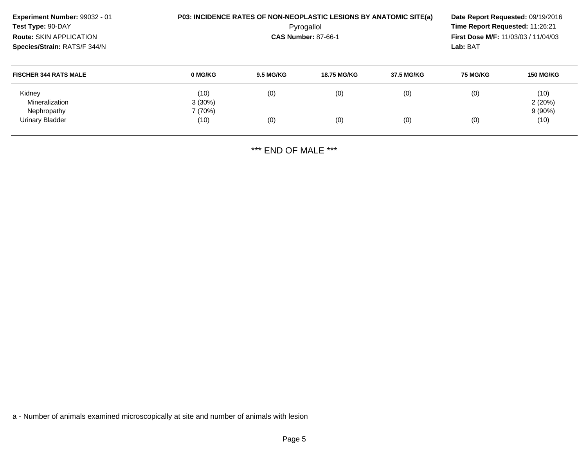| Experiment Number: 99032 - 01<br>Test Type: 90-DAY<br><b>Route: SKIN APPLICATION</b><br>Species/Strain: RATS/F 344/N |                   | P03: INCIDENCE RATES OF NON-NEOPLASTIC LESIONS BY ANATOMIC SITE(a)<br>Date Report Requested: 09/19/2016<br>Time Report Requested: 11:26:21<br>Pyrogallol<br><b>CAS Number: 87-66-1</b><br><b>First Dose M/F: 11/03/03 / 11/04/03</b><br>Lab: BAT |             |            |                 |                   |
|----------------------------------------------------------------------------------------------------------------------|-------------------|--------------------------------------------------------------------------------------------------------------------------------------------------------------------------------------------------------------------------------------------------|-------------|------------|-----------------|-------------------|
| <b>FISCHER 344 RATS MALE</b>                                                                                         | 0 MG/KG           | <b>9.5 MG/KG</b>                                                                                                                                                                                                                                 | 18.75 MG/KG | 37.5 MG/KG | <b>75 MG/KG</b> | <b>150 MG/KG</b>  |
| Kidney<br>Mineralization                                                                                             | (10)<br>$3(30\%)$ | (0)                                                                                                                                                                                                                                              | (0)         | (0)        | (0)             | (10)<br>2(20%)    |
| Nephropathy<br>Urinary Bladder                                                                                       | 7(70%)<br>(10)    | (0)                                                                                                                                                                                                                                              | (0)         | (0)        | (0)             | $9(90\%)$<br>(10) |

\*\*\* END OF MALE \*\*\*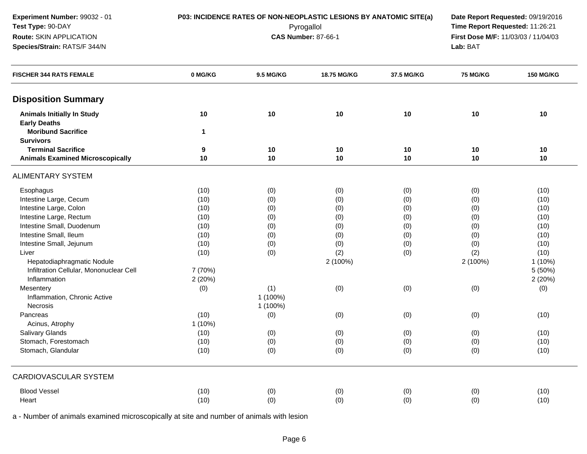| Experiment Number: 99032 - 01<br>Test Type: 90-DAY<br>Route: SKIN APPLICATION<br>Species/Strain: RATS/F 344/N |                    |           | P03: INCIDENCE RATES OF NON-NEOPLASTIC LESIONS BY ANATOMIC SITE(a)<br>Pyrogallol<br><b>CAS Number: 87-66-1</b> |            | Date Report Requested: 09/19/2016<br>Time Report Requested: 11:26:21<br>First Dose M/F: 11/03/03 / 11/04/03<br>Lab: BAT |                  |
|---------------------------------------------------------------------------------------------------------------|--------------------|-----------|----------------------------------------------------------------------------------------------------------------|------------|-------------------------------------------------------------------------------------------------------------------------|------------------|
| <b>FISCHER 344 RATS FEMALE</b>                                                                                | 0 MG/KG            | 9.5 MG/KG | 18.75 MG/KG                                                                                                    | 37.5 MG/KG | 75 MG/KG                                                                                                                | <b>150 MG/KG</b> |
| <b>Disposition Summary</b>                                                                                    |                    |           |                                                                                                                |            |                                                                                                                         |                  |
| <b>Animals Initially In Study</b><br><b>Early Deaths</b><br><b>Moribund Sacrifice</b>                         | 10<br>$\mathbf{1}$ | 10        | 10                                                                                                             | 10         | 10                                                                                                                      | 10               |
| <b>Survivors</b>                                                                                              |                    |           |                                                                                                                |            |                                                                                                                         |                  |
| <b>Terminal Sacrifice</b>                                                                                     | 9                  | 10        | 10                                                                                                             | 10         | 10                                                                                                                      | 10               |
| <b>Animals Examined Microscopically</b>                                                                       | 10                 | 10        | 10                                                                                                             | 10         | 10                                                                                                                      | 10               |
| <b>ALIMENTARY SYSTEM</b>                                                                                      |                    |           |                                                                                                                |            |                                                                                                                         |                  |
| Esophagus                                                                                                     | (10)               | (0)       | (0)                                                                                                            | (0)        | (0)                                                                                                                     | (10)             |
| Intestine Large, Cecum                                                                                        | (10)               | (0)       | (0)                                                                                                            | (0)        | (0)                                                                                                                     | (10)             |
| Intestine Large, Colon                                                                                        | (10)               | (0)       | (0)                                                                                                            | (0)        | (0)                                                                                                                     | (10)             |
| Intestine Large, Rectum                                                                                       | (10)               | (0)       | (0)                                                                                                            | (0)        | (0)                                                                                                                     | (10)             |
| Intestine Small, Duodenum                                                                                     | (10)               | (0)       | (0)                                                                                                            | (0)        | (0)                                                                                                                     | (10)             |
| Intestine Small, Ileum                                                                                        | (10)               | (0)       | (0)                                                                                                            | (0)        | (0)                                                                                                                     | (10)             |
| Intestine Small, Jejunum                                                                                      | (10)               | (0)       | (0)                                                                                                            | (0)        | (0)                                                                                                                     | (10)             |
| Liver                                                                                                         | (10)               | (0)       | (2)                                                                                                            | (0)        | (2)                                                                                                                     | (10)             |
| Hepatodiaphragmatic Nodule                                                                                    |                    |           | 2 (100%)                                                                                                       |            | 2 (100%)                                                                                                                | $1(10\%)$        |
| Infiltration Cellular, Mononuclear Cell                                                                       | 7 (70%)            |           |                                                                                                                |            |                                                                                                                         | 5 (50%)          |
| Inflammation                                                                                                  | 2(20%)             |           |                                                                                                                |            |                                                                                                                         | 2(20%)           |
| Mesentery                                                                                                     | (0)                | (1)       | (0)                                                                                                            | (0)        | (0)                                                                                                                     | (0)              |
| Inflammation, Chronic Active                                                                                  |                    | 1 (100%)  |                                                                                                                |            |                                                                                                                         |                  |
| Necrosis                                                                                                      |                    | 1 (100%)  |                                                                                                                |            |                                                                                                                         |                  |
| Pancreas                                                                                                      | (10)               | (0)       | (0)                                                                                                            | (0)        | (0)                                                                                                                     | (10)             |
| Acinus, Atrophy                                                                                               | $1(10\%)$          |           |                                                                                                                |            |                                                                                                                         |                  |
| Salivary Glands                                                                                               | (10)               | (0)       | (0)                                                                                                            | (0)        | (0)                                                                                                                     | (10)             |
| Stomach, Forestomach                                                                                          | (10)               | (0)       | (0)                                                                                                            | (0)        | (0)                                                                                                                     | (10)             |
| Stomach, Glandular                                                                                            | (10)               | (0)       | (0)                                                                                                            | (0)        | (0)                                                                                                                     | (10)             |
| CARDIOVASCULAR SYSTEM                                                                                         |                    |           |                                                                                                                |            |                                                                                                                         |                  |
| <b>Blood Vessel</b>                                                                                           | (10)               | (0)       | (0)                                                                                                            | (0)        | (0)                                                                                                                     | (10)             |
| Heart                                                                                                         | (10)               | (0)       | (0)                                                                                                            | (0)        | (0)                                                                                                                     | (10)             |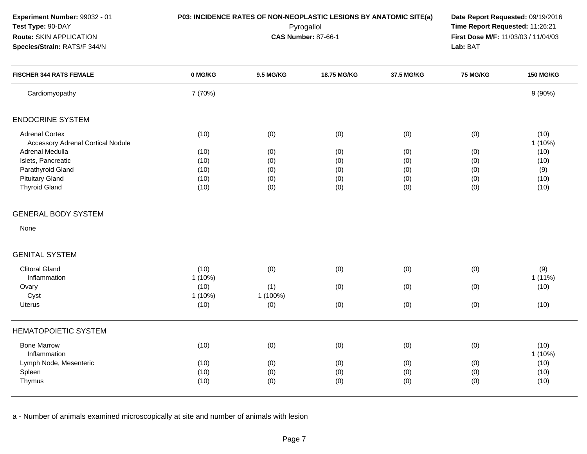| Experiment Number: 99032 - 01<br>Test Type: 90-DAY<br>Route: SKIN APPLICATION<br>Species/Strain: RATS/F 344/N | P03: INCIDENCE RATES OF NON-NEOPLASTIC LESIONS BY ANATOMIC SITE(a) | Date Report Requested: 09/19/2016<br>Time Report Requested: 11:26:21<br>First Dose M/F: 11/03/03 / 11/04/03<br>Lab: BAT |             |            |                 |                   |
|---------------------------------------------------------------------------------------------------------------|--------------------------------------------------------------------|-------------------------------------------------------------------------------------------------------------------------|-------------|------------|-----------------|-------------------|
| <b>FISCHER 344 RATS FEMALE</b>                                                                                | 0 MG/KG                                                            | 9.5 MG/KG                                                                                                               | 18.75 MG/KG | 37.5 MG/KG | <b>75 MG/KG</b> | <b>150 MG/KG</b>  |
| Cardiomyopathy                                                                                                | 7 (70%)                                                            |                                                                                                                         |             |            |                 | 9(90%)            |
| <b>ENDOCRINE SYSTEM</b>                                                                                       |                                                                    |                                                                                                                         |             |            |                 |                   |
| <b>Adrenal Cortex</b>                                                                                         | (10)                                                               | (0)                                                                                                                     | (0)         | (0)        | (0)             | (10)              |
| <b>Accessory Adrenal Cortical Nodule</b>                                                                      |                                                                    |                                                                                                                         |             |            |                 | $1(10\%)$         |
| Adrenal Medulla                                                                                               | (10)                                                               | (0)                                                                                                                     | (0)         | (0)        | (0)             | (10)              |
| Islets, Pancreatic                                                                                            | (10)                                                               | (0)                                                                                                                     | (0)         | (0)        | (0)             | (10)              |
| Parathyroid Gland                                                                                             | (10)                                                               | (0)                                                                                                                     | (0)         | (0)        | (0)             | (9)               |
| <b>Pituitary Gland</b>                                                                                        | (10)                                                               | (0)                                                                                                                     | (0)         | (0)        | (0)             | (10)              |
| <b>Thyroid Gland</b>                                                                                          | (10)                                                               | (0)                                                                                                                     | (0)         | (0)        | (0)             | (10)              |
| <b>GENERAL BODY SYSTEM</b>                                                                                    |                                                                    |                                                                                                                         |             |            |                 |                   |
| None                                                                                                          |                                                                    |                                                                                                                         |             |            |                 |                   |
| <b>GENITAL SYSTEM</b>                                                                                         |                                                                    |                                                                                                                         |             |            |                 |                   |
| <b>Clitoral Gland</b>                                                                                         | (10)                                                               | (0)                                                                                                                     | (0)         | (0)        | (0)             | (9)               |
| Inflammation                                                                                                  | $1(10\%)$                                                          |                                                                                                                         |             |            |                 | $1(11\%)$         |
| Ovary                                                                                                         | (10)                                                               | (1)                                                                                                                     | (0)         | (0)        | (0)             | (10)              |
| Cyst                                                                                                          | 1 (10%)                                                            | 1 (100%)                                                                                                                |             |            |                 |                   |
| <b>Uterus</b>                                                                                                 | (10)                                                               | (0)                                                                                                                     | (0)         | (0)        | (0)             | (10)              |
| <b>HEMATOPOIETIC SYSTEM</b>                                                                                   |                                                                    |                                                                                                                         |             |            |                 |                   |
| <b>Bone Marrow</b><br>Inflammation                                                                            | (10)                                                               | (0)                                                                                                                     | (0)         | (0)        | (0)             | (10)<br>$1(10\%)$ |
| Lymph Node, Mesenteric                                                                                        | (10)                                                               | (0)                                                                                                                     | (0)         | (0)        | (0)             | (10)              |
| Spleen                                                                                                        | (10)                                                               | (0)                                                                                                                     | (0)         | (0)        | (0)             | (10)              |
| Thymus                                                                                                        | (10)                                                               | (0)                                                                                                                     | (0)         | (0)        | (0)             | (10)              |
|                                                                                                               |                                                                    |                                                                                                                         |             |            |                 |                   |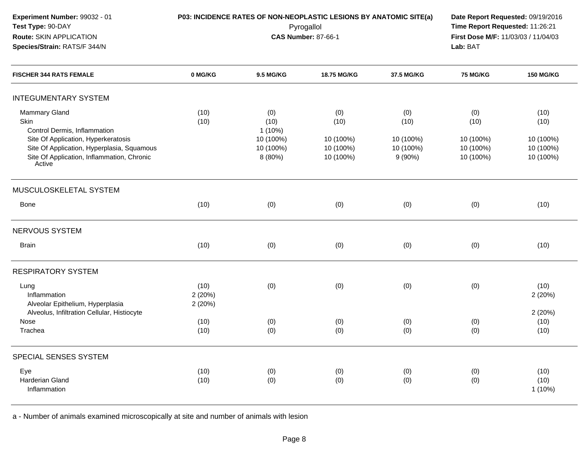| Experiment Number: 99032 - 01<br>Test Type: 90-DAY<br>Route: SKIN APPLICATION<br>Species/Strain: RATS/F 344/N                                                                                      | P03: INCIDENCE RATES OF NON-NEOPLASTIC LESIONS BY ANATOMIC SITE(a)<br>Date Report Requested: 09/19/2016<br>Time Report Requested: 11:26:21<br>Pyrogallol<br><b>CAS Number: 87-66-1</b><br>Lab: BAT |                                                               |                                                    |                                                 |                                                    | First Dose M/F: 11/03/03 / 11/04/03                 |  |  |
|----------------------------------------------------------------------------------------------------------------------------------------------------------------------------------------------------|----------------------------------------------------------------------------------------------------------------------------------------------------------------------------------------------------|---------------------------------------------------------------|----------------------------------------------------|-------------------------------------------------|----------------------------------------------------|-----------------------------------------------------|--|--|
| <b>FISCHER 344 RATS FEMALE</b>                                                                                                                                                                     | 0 MG/KG                                                                                                                                                                                            | 9.5 MG/KG                                                     | 18.75 MG/KG                                        | 37.5 MG/KG                                      | <b>75 MG/KG</b>                                    | <b>150 MG/KG</b>                                    |  |  |
| <b>INTEGUMENTARY SYSTEM</b>                                                                                                                                                                        |                                                                                                                                                                                                    |                                                               |                                                    |                                                 |                                                    |                                                     |  |  |
| Mammary Gland<br>Skin<br>Control Dermis, Inflammation<br>Site Of Application, Hyperkeratosis<br>Site Of Application, Hyperplasia, Squamous<br>Site Of Application, Inflammation, Chronic<br>Active | (10)<br>(10)                                                                                                                                                                                       | (0)<br>(10)<br>$1(10\%)$<br>10 (100%)<br>10 (100%)<br>8 (80%) | (0)<br>(10)<br>10 (100%)<br>10 (100%)<br>10 (100%) | (0)<br>(10)<br>10 (100%)<br>10 (100%)<br>9(90%) | (0)<br>(10)<br>10 (100%)<br>10 (100%)<br>10 (100%) | (10)<br>(10)<br>10 (100%)<br>10 (100%)<br>10 (100%) |  |  |
| MUSCULOSKELETAL SYSTEM                                                                                                                                                                             |                                                                                                                                                                                                    |                                                               |                                                    |                                                 |                                                    |                                                     |  |  |
| Bone                                                                                                                                                                                               | (10)                                                                                                                                                                                               | (0)                                                           | (0)                                                | (0)                                             | (0)                                                | (10)                                                |  |  |
| NERVOUS SYSTEM                                                                                                                                                                                     |                                                                                                                                                                                                    |                                                               |                                                    |                                                 |                                                    |                                                     |  |  |
| <b>Brain</b>                                                                                                                                                                                       | (10)                                                                                                                                                                                               | (0)                                                           | (0)                                                | (0)                                             | (0)                                                | (10)                                                |  |  |
| <b>RESPIRATORY SYSTEM</b>                                                                                                                                                                          |                                                                                                                                                                                                    |                                                               |                                                    |                                                 |                                                    |                                                     |  |  |
| Lung<br>Inflammation<br>Alveolar Epithelium, Hyperplasia                                                                                                                                           | (10)<br>2(20%)<br>2(20%)                                                                                                                                                                           | (0)                                                           | (0)                                                | (0)                                             | (0)                                                | (10)<br>2(20%)                                      |  |  |
| Alveolus, Infiltration Cellular, Histiocyte<br>Nose                                                                                                                                                | (10)                                                                                                                                                                                               |                                                               |                                                    |                                                 |                                                    | 2(20%)<br>(10)                                      |  |  |
| Trachea                                                                                                                                                                                            | (10)                                                                                                                                                                                               | (0)<br>(0)                                                    | (0)<br>(0)                                         | (0)<br>(0)                                      | (0)<br>(0)                                         | (10)                                                |  |  |
| SPECIAL SENSES SYSTEM                                                                                                                                                                              |                                                                                                                                                                                                    |                                                               |                                                    |                                                 |                                                    |                                                     |  |  |
| Eye<br>Harderian Gland<br>Inflammation                                                                                                                                                             | (10)<br>(10)                                                                                                                                                                                       | (0)<br>(0)                                                    | (0)<br>(0)                                         | (0)<br>(0)                                      | (0)<br>(0)                                         | (10)<br>(10)<br>$1(10\%)$                           |  |  |